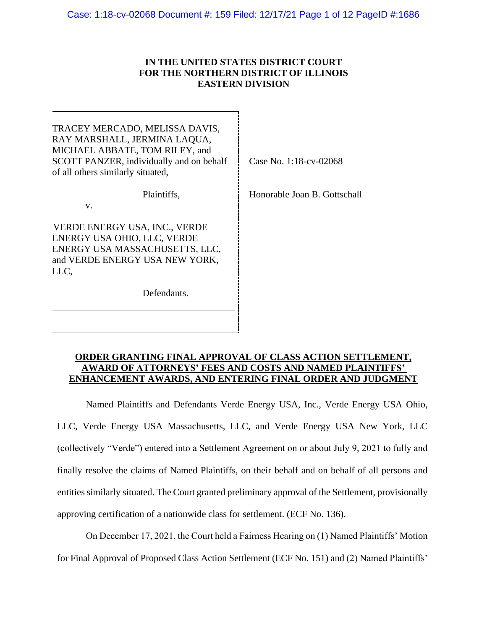# **IN THE UNITED STATES DISTRICT COURT FOR THE NORTHERN DISTRICT OF ILLINOIS EASTERN DIVISION**

Ē.

| TRACEY MERCADO, MELISSA DAVIS,<br>RAY MARSHALL, JERMINA LAQUA,<br>MICHAEL ABBATE, TOM RILEY, and<br>SCOTT PANZER, individually and on behalf<br>of all others similarly situated, | Case No. 1:18-cv-02068       |
|-----------------------------------------------------------------------------------------------------------------------------------------------------------------------------------|------------------------------|
| Plaintiffs.<br>V.                                                                                                                                                                 | Honorable Joan B. Gottschall |
| VERDE ENERGY USA, INC., VERDE<br>ENERGY USA OHIO, LLC, VERDE<br>ENERGY USA MASSACHUSETTS, LLC,<br>and VERDE ENERGY USA NEW YORK,<br>LLC.                                          |                              |
| Defendants.                                                                                                                                                                       |                              |
|                                                                                                                                                                                   |                              |

# **ORDER GRANTING FINAL APPROVAL OF CLASS ACTION SETTLEMENT, AWARD OF ATTORNEYS' FEES AND COSTS AND NAMED PLAINTIFFS' ENHANCEMENT AWARDS, AND ENTERING FINAL ORDER AND JUDGMENT**

Named Plaintiffs and Defendants Verde Energy USA, Inc., Verde Energy USA Ohio, LLC, Verde Energy USA Massachusetts, LLC, and Verde Energy USA New York, LLC (collectively "Verde") entered into a Settlement Agreement on or about July 9, 2021 to fully and finally resolve the claims of Named Plaintiffs, on their behalf and on behalf of all persons and entities similarly situated. The Court granted preliminary approval of the Settlement, provisionally approving certification of a nationwide class for settlement. (ECF No. 136).

On December 17, 2021, the Court held a Fairness Hearing on (1) Named Plaintiffs' Motion for Final Approval of Proposed Class Action Settlement (ECF No. 151) and (2) Named Plaintiffs'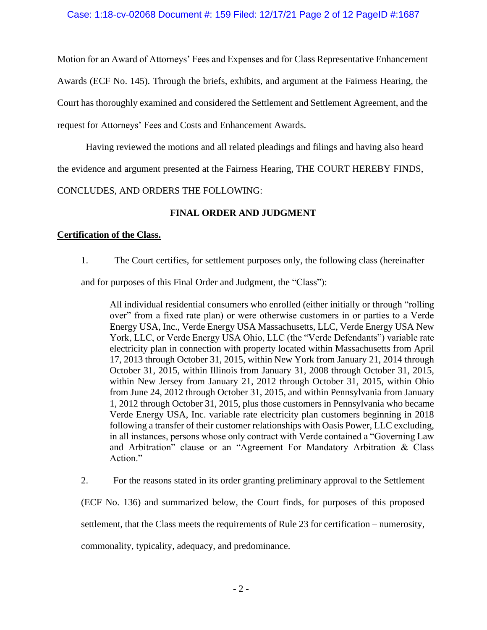Motion for an Award of Attorneys' Fees and Expenses and for Class Representative Enhancement Awards (ECF No. 145). Through the briefs, exhibits, and argument at the Fairness Hearing, the Court has thoroughly examined and considered the Settlement and Settlement Agreement, and the request for Attorneys' Fees and Costs and Enhancement Awards.

Having reviewed the motions and all related pleadings and filings and having also heard the evidence and argument presented at the Fairness Hearing, THE COURT HEREBY FINDS,

CONCLUDES, AND ORDERS THE FOLLOWING:

# **FINAL ORDER AND JUDGMENT**

# **Certification of the Class.**

1. The Court certifies, for settlement purposes only, the following class (hereinafter

and for purposes of this Final Order and Judgment, the "Class"):

All individual residential consumers who enrolled (either initially or through "rolling over" from a fixed rate plan) or were otherwise customers in or parties to a Verde Energy USA, Inc., Verde Energy USA Massachusetts, LLC, Verde Energy USA New York, LLC, or Verde Energy USA Ohio, LLC (the "Verde Defendants") variable rate electricity plan in connection with property located within Massachusetts from April 17, 2013 through October 31, 2015, within New York from January 21, 2014 through October 31, 2015, within Illinois from January 31, 2008 through October 31, 2015, within New Jersey from January 21, 2012 through October 31, 2015, within Ohio from June 24, 2012 through October 31, 2015, and within Pennsylvania from January 1, 2012 through October 31, 2015, plus those customers in Pennsylvania who became Verde Energy USA, Inc. variable rate electricity plan customers beginning in 2018 following a transfer of their customer relationships with Oasis Power, LLC excluding, in all instances, persons whose only contract with Verde contained a "Governing Law and Arbitration" clause or an "Agreement For Mandatory Arbitration & Class Action."

2. For the reasons stated in its order granting preliminary approval to the Settlement

(ECF No. 136) and summarized below, the Court finds, for purposes of this proposed

settlement, that the Class meets the requirements of Rule 23 for certification – numerosity,

commonality, typicality, adequacy, and predominance.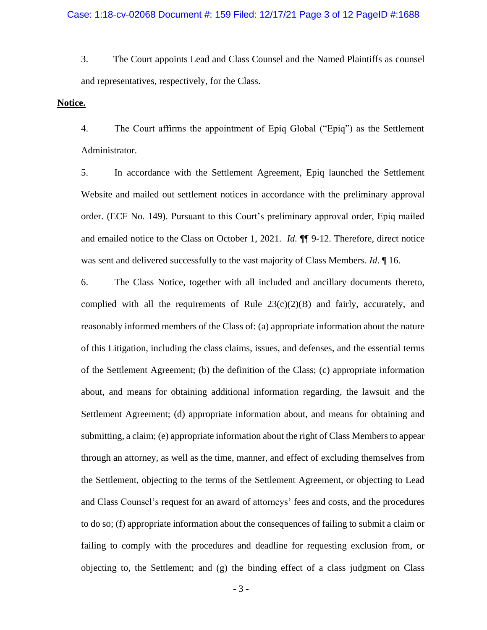3. The Court appoints Lead and Class Counsel and the Named Plaintiffs as counsel and representatives, respectively, for the Class.

### **Notice.**

4. The Court affirms the appointment of Epiq Global ("Epiq") as the Settlement Administrator.

5. In accordance with the Settlement Agreement, Epiq launched the Settlement Website and mailed out settlement notices in accordance with the preliminary approval order. (ECF No. 149). Pursuant to this Court's preliminary approval order, Epiq mailed and emailed notice to the Class on October 1, 2021. *Id.* ¶¶ 9-12. Therefore, direct notice was sent and delivered successfully to the vast majority of Class Members. *Id*. ¶ 16.

6. The Class Notice, together with all included and ancillary documents thereto, complied with all the requirements of Rule  $23(c)(2)(B)$  and fairly, accurately, and reasonably informed members of the Class of: (a) appropriate information about the nature of this Litigation, including the class claims, issues, and defenses, and the essential terms of the Settlement Agreement; (b) the definition of the Class; (c) appropriate information about, and means for obtaining additional information regarding, the lawsuit and the Settlement Agreement; (d) appropriate information about, and means for obtaining and submitting, a claim; (e) appropriate information about the right of Class Members to appear through an attorney, as well as the time, manner, and effect of excluding themselves from the Settlement, objecting to the terms of the Settlement Agreement, or objecting to Lead and Class Counsel's request for an award of attorneys' fees and costs, and the procedures to do so; (f) appropriate information about the consequences of failing to submit a claim or failing to comply with the procedures and deadline for requesting exclusion from, or objecting to, the Settlement; and (g) the binding effect of a class judgment on Class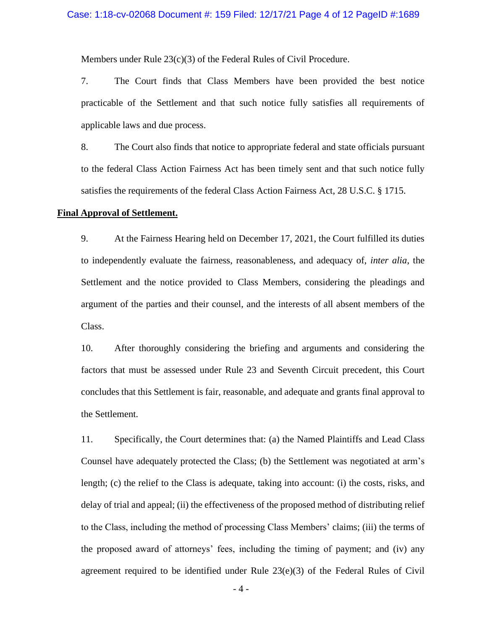Members under Rule 23(c)(3) of the Federal Rules of Civil Procedure.

7. The Court finds that Class Members have been provided the best notice practicable of the Settlement and that such notice fully satisfies all requirements of applicable laws and due process.

8. The Court also finds that notice to appropriate federal and state officials pursuant to the federal Class Action Fairness Act has been timely sent and that such notice fully satisfies the requirements of the federal Class Action Fairness Act, 28 U.S.C. § 1715.

### **Final Approval of Settlement.**

9. At the Fairness Hearing held on December 17, 2021, the Court fulfilled its duties to independently evaluate the fairness, reasonableness, and adequacy of, *inter alia*, the Settlement and the notice provided to Class Members, considering the pleadings and argument of the parties and their counsel, and the interests of all absent members of the Class.

10. After thoroughly considering the briefing and arguments and considering the factors that must be assessed under Rule 23 and Seventh Circuit precedent, this Court concludes that this Settlement is fair, reasonable, and adequate and grants final approval to the Settlement.

11. Specifically, the Court determines that: (a) the Named Plaintiffs and Lead Class Counsel have adequately protected the Class; (b) the Settlement was negotiated at arm's length; (c) the relief to the Class is adequate, taking into account: (i) the costs, risks, and delay of trial and appeal; (ii) the effectiveness of the proposed method of distributing relief to the Class, including the method of processing Class Members' claims; (iii) the terms of the proposed award of attorneys' fees, including the timing of payment; and (iv) any agreement required to be identified under Rule 23(e)(3) of the Federal Rules of Civil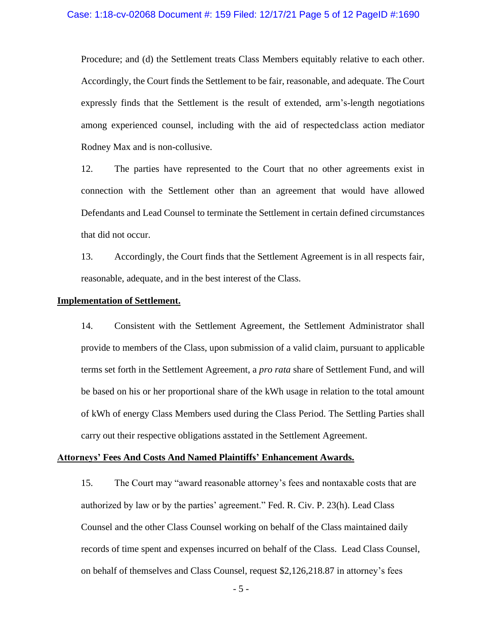Procedure; and (d) the Settlement treats Class Members equitably relative to each other. Accordingly, the Court finds the Settlement to be fair, reasonable, and adequate. The Court expressly finds that the Settlement is the result of extended, arm's-length negotiations among experienced counsel, including with the aid of respectedclass action mediator Rodney Max and is non-collusive.

12. The parties have represented to the Court that no other agreements exist in connection with the Settlement other than an agreement that would have allowed Defendants and Lead Counsel to terminate the Settlement in certain defined circumstances that did not occur.

13. Accordingly, the Court finds that the Settlement Agreement is in all respects fair, reasonable, adequate, and in the best interest of the Class.

#### **Implementation of Settlement.**

14. Consistent with the Settlement Agreement, the Settlement Administrator shall provide to members of the Class, upon submission of a valid claim, pursuant to applicable terms set forth in the Settlement Agreement, a *pro rata* share of Settlement Fund, and will be based on his or her proportional share of the kWh usage in relation to the total amount of kWh of energy Class Members used during the Class Period. The Settling Parties shall carry out their respective obligations asstated in the Settlement Agreement.

#### **Attorneys' Fees And Costs And Named Plaintiffs' Enhancement Awards.**

15. The Court may "award reasonable attorney's fees and nontaxable costs that are authorized by law or by the parties' agreement." Fed. R. Civ. P. 23(h). Lead Class Counsel and the other Class Counsel working on behalf of the Class maintained daily records of time spent and expenses incurred on behalf of the Class. Lead Class Counsel, on behalf of themselves and Class Counsel, request \$2,126,218.87 in attorney's fees

- 5 -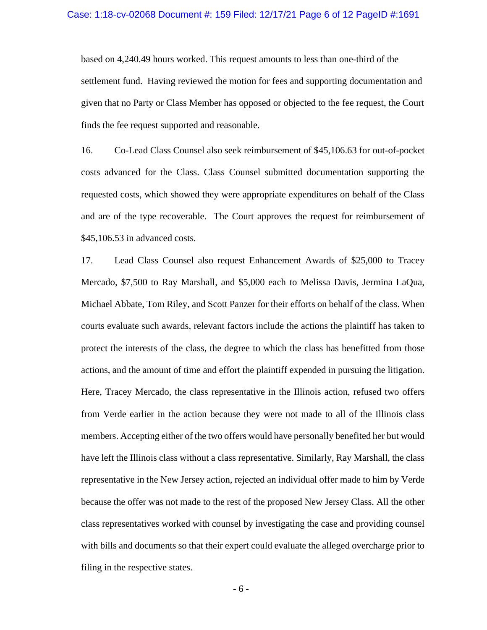based on 4,240.49 hours worked. This request amounts to less than one-third of the settlement fund. Having reviewed the motion for fees and supporting documentation and given that no Party or Class Member has opposed or objected to the fee request, the Court finds the fee request supported and reasonable.

16. Co-Lead Class Counsel also seek reimbursement of \$45,106.63 for out-of-pocket costs advanced for the Class. Class Counsel submitted documentation supporting the requested costs, which showed they were appropriate expenditures on behalf of the Class and are of the type recoverable. The Court approves the request for reimbursement of \$45,106.53 in advanced costs.

17. Lead Class Counsel also request Enhancement Awards of \$25,000 to Tracey Mercado, \$7,500 to Ray Marshall, and \$5,000 each to Melissa Davis, Jermina LaQua, Michael Abbate, Tom Riley, and Scott Panzer for their efforts on behalf of the class. When courts evaluate such awards, relevant factors include the actions the plaintiff has taken to protect the interests of the class, the degree to which the class has benefitted from those actions, and the amount of time and effort the plaintiff expended in pursuing the litigation. Here, Tracey Mercado, the class representative in the Illinois action, refused two offers from Verde earlier in the action because they were not made to all of the Illinois class members. Accepting either of the two offers would have personally benefited her but would have left the Illinois class without a class representative. Similarly, Ray Marshall, the class representative in the New Jersey action, rejected an individual offer made to him by Verde because the offer was not made to the rest of the proposed New Jersey Class. All the other class representatives worked with counsel by investigating the case and providing counsel with bills and documents so that their expert could evaluate the alleged overcharge prior to filing in the respective states.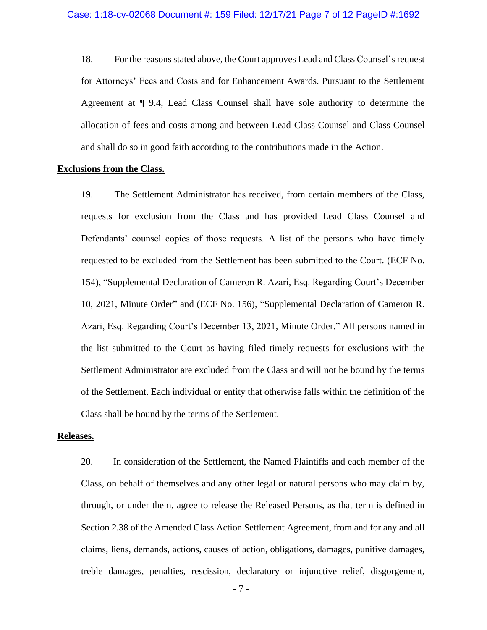18. For the reasons stated above, the Court approves Lead and Class Counsel's request for Attorneys' Fees and Costs and for Enhancement Awards. Pursuant to the Settlement Agreement at ¶ 9.4, Lead Class Counsel shall have sole authority to determine the allocation of fees and costs among and between Lead Class Counsel and Class Counsel and shall do so in good faith according to the contributions made in the Action.

### **Exclusions from the Class.**

19. The Settlement Administrator has received, from certain members of the Class, requests for exclusion from the Class and has provided Lead Class Counsel and Defendants' counsel copies of those requests. A list of the persons who have timely requested to be excluded from the Settlement has been submitted to the Court. (ECF No. 154), "Supplemental Declaration of Cameron R. Azari, Esq. Regarding Court's December 10, 2021, Minute Order" and (ECF No. 156), "Supplemental Declaration of Cameron R. Azari, Esq. Regarding Court's December 13, 2021, Minute Order." All persons named in the list submitted to the Court as having filed timely requests for exclusions with the Settlement Administrator are excluded from the Class and will not be bound by the terms of the Settlement. Each individual or entity that otherwise falls within the definition of the Class shall be bound by the terms of the Settlement.

#### **Releases.**

20. In consideration of the Settlement, the Named Plaintiffs and each member of the Class, on behalf of themselves and any other legal or natural persons who may claim by, through, or under them, agree to release the Released Persons, as that term is defined in Section 2.38 of the Amended Class Action Settlement Agreement, from and for any and all claims, liens, demands, actions, causes of action, obligations, damages, punitive damages, treble damages, penalties, rescission, declaratory or injunctive relief, disgorgement,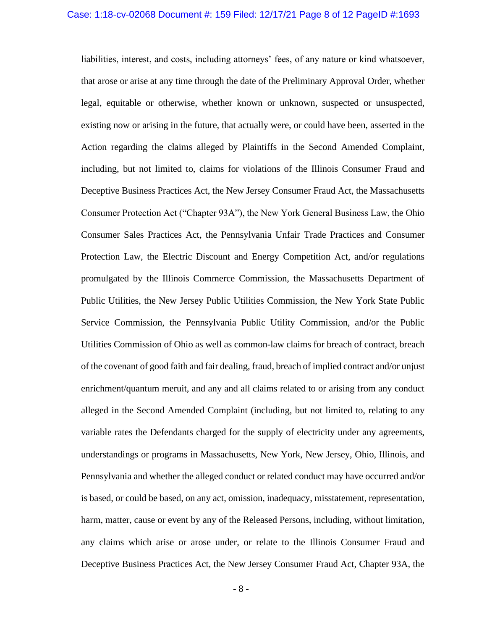liabilities, interest, and costs, including attorneys' fees, of any nature or kind whatsoever, that arose or arise at any time through the date of the Preliminary Approval Order, whether legal, equitable or otherwise, whether known or unknown, suspected or unsuspected, existing now or arising in the future, that actually were, or could have been, asserted in the Action regarding the claims alleged by Plaintiffs in the Second Amended Complaint, including, but not limited to, claims for violations of the Illinois Consumer Fraud and Deceptive Business Practices Act, the New Jersey Consumer Fraud Act, the Massachusetts Consumer Protection Act ("Chapter 93A"), the New York General Business Law, the Ohio Consumer Sales Practices Act, the Pennsylvania Unfair Trade Practices and Consumer Protection Law, the Electric Discount and Energy Competition Act, and/or regulations promulgated by the Illinois Commerce Commission, the Massachusetts Department of Public Utilities, the New Jersey Public Utilities Commission, the New York State Public Service Commission, the Pennsylvania Public Utility Commission, and/or the Public Utilities Commission of Ohio as well as common-law claims for breach of contract, breach of the covenant of good faith and fair dealing, fraud, breach of implied contract and/or unjust enrichment/quantum meruit, and any and all claims related to or arising from any conduct alleged in the Second Amended Complaint (including, but not limited to, relating to any variable rates the Defendants charged for the supply of electricity under any agreements, understandings or programs in Massachusetts, New York, New Jersey, Ohio, Illinois, and Pennsylvania and whether the alleged conduct or related conduct may have occurred and/or is based, or could be based, on any act, omission, inadequacy, misstatement, representation, harm, matter, cause or event by any of the Released Persons, including, without limitation, any claims which arise or arose under, or relate to the Illinois Consumer Fraud and Deceptive Business Practices Act, the New Jersey Consumer Fraud Act, Chapter 93A, the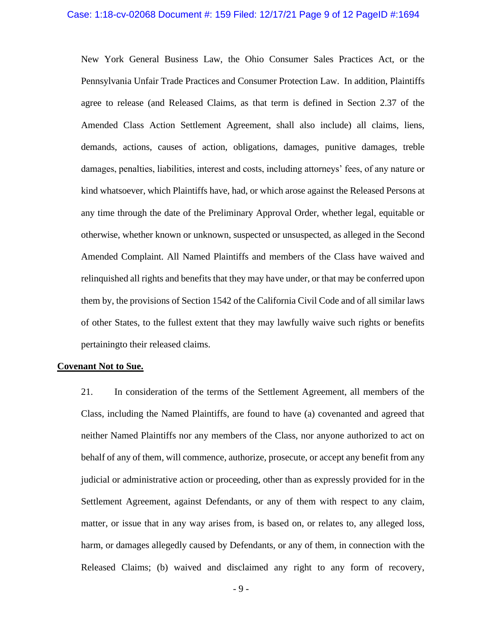New York General Business Law, the Ohio Consumer Sales Practices Act, or the Pennsylvania Unfair Trade Practices and Consumer Protection Law. In addition, Plaintiffs agree to release (and Released Claims, as that term is defined in Section 2.37 of the Amended Class Action Settlement Agreement, shall also include) all claims, liens, demands, actions, causes of action, obligations, damages, punitive damages, treble damages, penalties, liabilities, interest and costs, including attorneys' fees, of any nature or kind whatsoever, which Plaintiffs have, had, or which arose against the Released Persons at any time through the date of the Preliminary Approval Order, whether legal, equitable or otherwise, whether known or unknown, suspected or unsuspected, as alleged in the Second Amended Complaint. All Named Plaintiffs and members of the Class have waived and relinquished all rights and benefits that they may have under, or that may be conferred upon them by, the provisions of Section 1542 of the California Civil Code and of all similar laws of other States, to the fullest extent that they may lawfully waive such rights or benefits pertainingto their released claims.

#### **Covenant Not to Sue.**

21. In consideration of the terms of the Settlement Agreement, all members of the Class, including the Named Plaintiffs, are found to have (a) covenanted and agreed that neither Named Plaintiffs nor any members of the Class, nor anyone authorized to act on behalf of any of them, will commence, authorize, prosecute, or accept any benefit from any judicial or administrative action or proceeding, other than as expressly provided for in the Settlement Agreement, against Defendants, or any of them with respect to any claim, matter, or issue that in any way arises from, is based on, or relates to, any alleged loss, harm, or damages allegedly caused by Defendants, or any of them, in connection with the Released Claims; (b) waived and disclaimed any right to any form of recovery,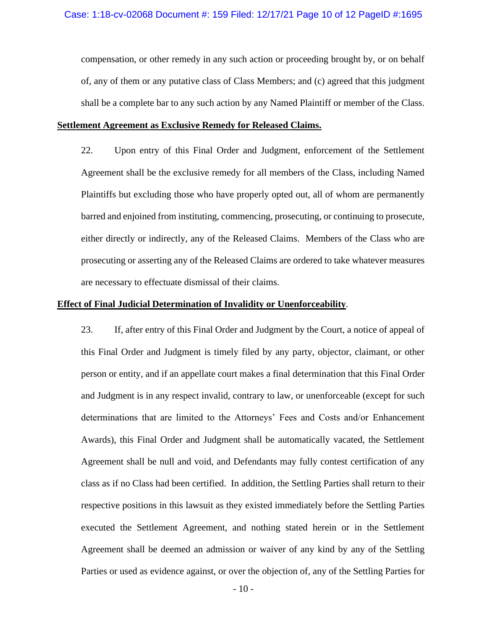compensation, or other remedy in any such action or proceeding brought by, or on behalf of, any of them or any putative class of Class Members; and (c) agreed that this judgment shall be a complete bar to any such action by any Named Plaintiff or member of the Class.

## **Settlement Agreement as Exclusive Remedy for Released Claims.**

22. Upon entry of this Final Order and Judgment, enforcement of the Settlement Agreement shall be the exclusive remedy for all members of the Class, including Named Plaintiffs but excluding those who have properly opted out, all of whom are permanently barred and enjoined from instituting, commencing, prosecuting, or continuing to prosecute, either directly or indirectly, any of the Released Claims. Members of the Class who are prosecuting or asserting any of the Released Claims are ordered to take whatever measures are necessary to effectuate dismissal of their claims.

## **Effect of Final Judicial Determination of Invalidity or Unenforceability**.

23. If, after entry of this Final Order and Judgment by the Court, a notice of appeal of this Final Order and Judgment is timely filed by any party, objector, claimant, or other person or entity, and if an appellate court makes a final determination that this Final Order and Judgment is in any respect invalid, contrary to law, or unenforceable (except for such determinations that are limited to the Attorneys' Fees and Costs and/or Enhancement Awards), this Final Order and Judgment shall be automatically vacated, the Settlement Agreement shall be null and void, and Defendants may fully contest certification of any class as if no Class had been certified. In addition, the Settling Parties shall return to their respective positions in this lawsuit as they existed immediately before the Settling Parties executed the Settlement Agreement, and nothing stated herein or in the Settlement Agreement shall be deemed an admission or waiver of any kind by any of the Settling Parties or used as evidence against, or over the objection of, any of the Settling Parties for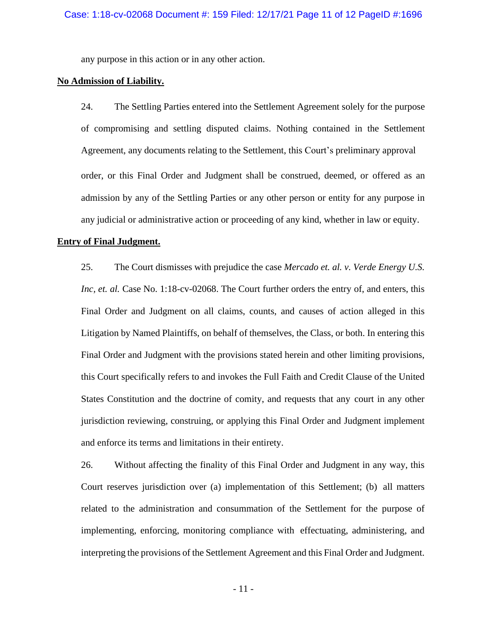any purpose in this action or in any other action.

## **No Admission of Liability.**

24. The Settling Parties entered into the Settlement Agreement solely for the purpose of compromising and settling disputed claims. Nothing contained in the Settlement Agreement, any documents relating to the Settlement, this Court's preliminary approval order, or this Final Order and Judgment shall be construed, deemed, or offered as an admission by any of the Settling Parties or any other person or entity for any purpose in any judicial or administrative action or proceeding of any kind, whether in law or equity.

### **Entry of Final Judgment.**

25. The Court dismisses with prejudice the case *Mercado et. al. v. Verde Energy U.S. Inc, et. al.* Case No. 1:18-cv-02068. The Court further orders the entry of, and enters, this Final Order and Judgment on all claims, counts, and causes of action alleged in this Litigation by Named Plaintiffs, on behalf of themselves, the Class, or both. In entering this Final Order and Judgment with the provisions stated herein and other limiting provisions, this Court specifically refers to and invokes the Full Faith and Credit Clause of the United States Constitution and the doctrine of comity, and requests that any court in any other jurisdiction reviewing, construing, or applying this Final Order and Judgment implement and enforce its terms and limitations in their entirety.

26. Without affecting the finality of this Final Order and Judgment in any way, this Court reserves jurisdiction over (a) implementation of this Settlement; (b) all matters related to the administration and consummation of the Settlement for the purpose of implementing, enforcing, monitoring compliance with effectuating, administering, and interpreting the provisions of the Settlement Agreement and this Final Order and Judgment.